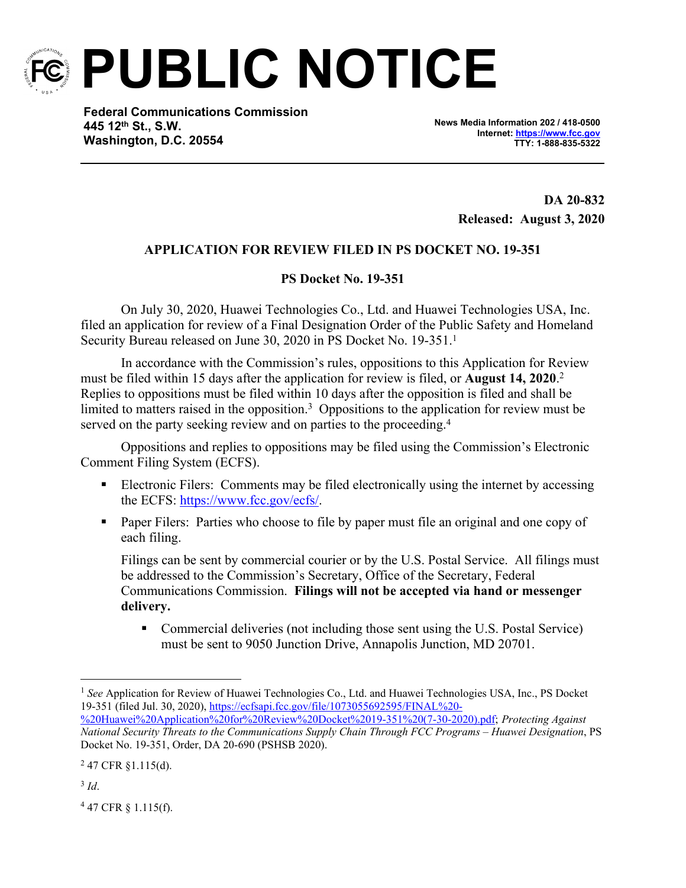

**PUBLIC NOTICE**

**Federal Communications Commission 445 12th St., S.W. Washington, D.C. 20554**

**News Media Information 202 / 418-0500 Internet:<https://www.fcc.gov> TTY: 1-888-835-5322**

> **DA 20-832 Released: August 3, 2020**

## **APPLICATION FOR REVIEW FILED IN PS DOCKET NO. 19-351**

## **PS Docket No. 19-351**

On July 30, 2020, Huawei Technologies Co., Ltd. and Huawei Technologies USA, Inc. filed an application for review of a Final Designation Order of the Public Safety and Homeland Security Bureau released on June 30, 2020 in PS Docket No. 19-351.<sup>1</sup>

In accordance with the Commission's rules, oppositions to this Application for Review must be filed within 15 days after the application for review is filed, or **August 14, 2020**. 2 Replies to oppositions must be filed within 10 days after the opposition is filed and shall be limited to matters raised in the opposition.<sup>3</sup> Oppositions to the application for review must be served on the party seeking review and on parties to the proceeding.<sup>4</sup>

Oppositions and replies to oppositions may be filed using the Commission's Electronic Comment Filing System (ECFS).

- **Electronic Filers:** Comments may be filed electronically using the internet by accessing the ECFS: [https://www.fcc.gov/ecfs/.](https://www.fcc.gov/ecfs/)
- **Paper Filers:** Parties who choose to file by paper must file an original and one copy of each filing.

Filings can be sent by commercial courier or by the U.S. Postal Service. All filings must be addressed to the Commission's Secretary, Office of the Secretary, Federal Communications Commission. **Filings will not be accepted via hand or messenger delivery.**

• Commercial deliveries (not including those sent using the U.S. Postal Service) must be sent to 9050 Junction Drive, Annapolis Junction, MD 20701.

3 *Id*.

4 47 CFR § 1.115(f).

<sup>1</sup> *See* Application for Review of Huawei Technologies Co., Ltd. and Huawei Technologies USA, Inc., PS Docket 19-351 (filed Jul. 30, 2020), [https://ecfsapi.fcc.gov/file/1073055692595/FINAL%20-](https://ecfsapi.fcc.gov/file/1073055692595/FINAL%20-%20Huawei%20Application%20for%20Review%20Docket%2019-351%20(7-30-2020).pdf)

[<sup>%20</sup>Huawei%20Application%20for%20Review%20Docket%2019-351%20\(7-30-2020\).pdf](https://ecfsapi.fcc.gov/file/1073055692595/FINAL%20-%20Huawei%20Application%20for%20Review%20Docket%2019-351%20(7-30-2020).pdf); *Protecting Against National Security Threats to the Communications Supply Chain Through FCC Programs – Huawei Designation*, PS Docket No. 19-351, Order, DA 20-690 (PSHSB 2020).

 $247$  CFR §1.115(d).